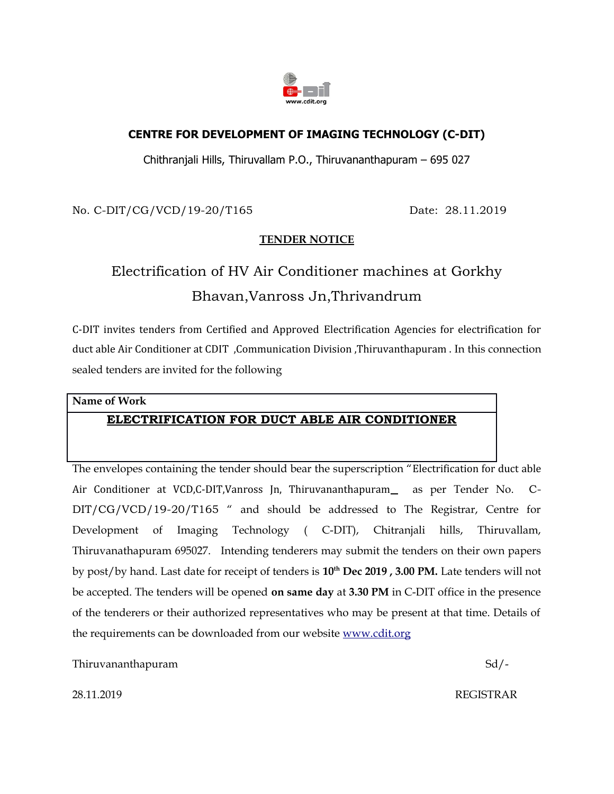

#### **CENTRE FOR DEVELOPMENT OF IMAGING TECHNOLOGY (C-DIT)**

Chithranjali Hills, Thiruvallam P.O., Thiruvananthapuram – 695 027

No. C-DIT/CG/VCD/19-20/T165 Date: 28.11.2019

## **TENDER NOTICE**

# Electrification of HV Air Conditioner machines at Gorkhy Bhavan,Vanross Jn,Thrivandrum

C-DIT invites tenders from Certified and Approved Electrification Agencies for electrification for duct able Air Conditioner at CDIT ,Communication Division ,Thiruvanthapuram . In this connection sealed tenders are invited for the following

## **Name of Work ELECTRIFICATION FOR DUCT ABLE AIR CONDITIONER**

The envelopes containing the tender should bear the superscription "Electrification for duct able Air Conditioner at VCD,C-DIT, Vanross Jn, Thiruvananthapuram as per Tender No. C-DIT/CG/VCD/19-20/T165 " and should be addressed to The Registrar, Centre for Development of Imaging Technology ( C-DIT), Chitranjali hills, Thiruvallam, Thiruvanathapuram 695027. Intending tenderers may submit the tenders on their own papers by post/by hand. Last date for receipt of tenders is **10th Dec 2019 , 3.00 PM.** Late tenders will not be accepted. The tenders will be opened **on same day** at **3.30 PM** in C-DIT office in the presence of the tenderers or their authorized representatives who may be present at that time. Details of the requirements can be downloaded from our website [www.cdit.org](http://www.cdit.org/)

Thiruvananthapuram Sd/-

28.11.2019 REGISTRAR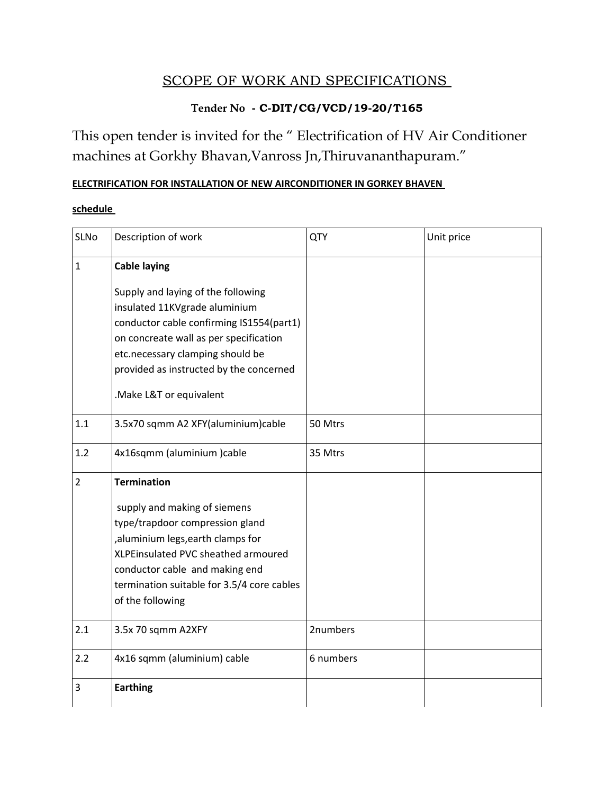# SCOPE OF WORK AND SPECIFICATIONS

## **Tender No - C-DIT/CG/VCD/19-20/T165**

This open tender is invited for the " Electrification of HV Air Conditioner machines at Gorkhy Bhavan,Vanross Jn,Thiruvananthapuram."

### **ELECTRIFICATION FOR INSTALLATION OF NEW AIRCONDITIONER IN GORKEY BHAVEN**

#### **schedule**

| SLNo           | Description of work                                                                                                                                                                                                                                                                        | QTY       | Unit price |
|----------------|--------------------------------------------------------------------------------------------------------------------------------------------------------------------------------------------------------------------------------------------------------------------------------------------|-----------|------------|
| $\mathbf{1}$   | <b>Cable laying</b><br>Supply and laying of the following<br>insulated 11KVgrade aluminium<br>conductor cable confirming IS1554(part1)<br>on concreate wall as per specification<br>etc.necessary clamping should be<br>provided as instructed by the concerned<br>.Make L&T or equivalent |           |            |
| 1.1            | 3.5x70 sqmm A2 XFY(aluminium)cable                                                                                                                                                                                                                                                         | 50 Mtrs   |            |
| 1.2            | 4x16sqmm (aluminium)cable                                                                                                                                                                                                                                                                  | 35 Mtrs   |            |
| $\overline{2}$ | <b>Termination</b><br>supply and making of siemens<br>type/trapdoor compression gland<br>, aluminium legs, earth clamps for<br>XLPEinsulated PVC sheathed armoured<br>conductor cable and making end<br>termination suitable for 3.5/4 core cables<br>of the following                     |           |            |
| 2.1            | 3.5x 70 sqmm A2XFY                                                                                                                                                                                                                                                                         | 2numbers  |            |
| 2.2            | 4x16 sqmm (aluminium) cable                                                                                                                                                                                                                                                                | 6 numbers |            |
| 3              | <b>Earthing</b>                                                                                                                                                                                                                                                                            |           |            |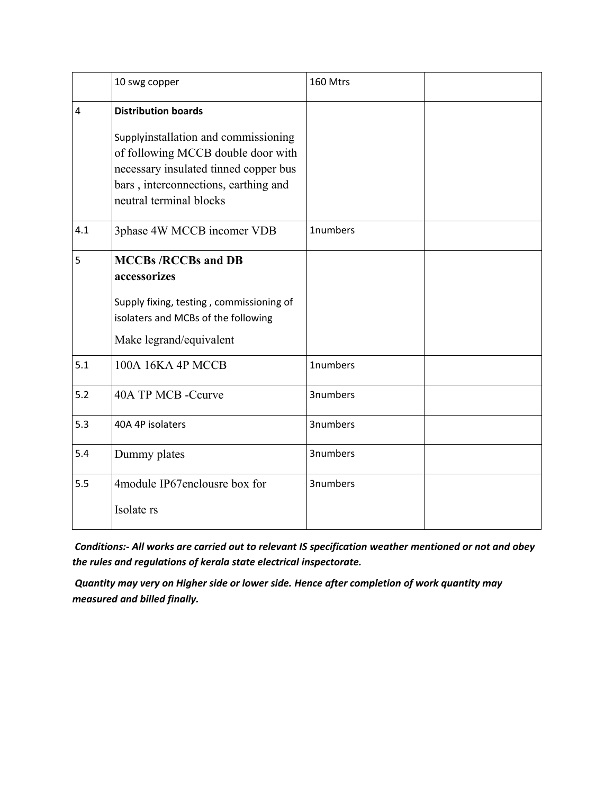|     | 10 swg copper                                                                                                                                                                                                        | 160 Mtrs |  |
|-----|----------------------------------------------------------------------------------------------------------------------------------------------------------------------------------------------------------------------|----------|--|
| 4   | <b>Distribution boards</b><br>Supplyinstallation and commissioning<br>of following MCCB double door with<br>necessary insulated tinned copper bus<br>bars, interconnections, earthing and<br>neutral terminal blocks |          |  |
| 4.1 | 3phase 4W MCCB incomer VDB                                                                                                                                                                                           | 1numbers |  |
| 5   | <b>MCCBs/RCCBs and DB</b><br>accessorizes<br>Supply fixing, testing, commissioning of<br>isolaters and MCBs of the following<br>Make legrand/equivalent                                                              |          |  |
| 5.1 | 100A 16KA 4P MCCB                                                                                                                                                                                                    | 1numbers |  |
| 5.2 | 40A TP MCB -Ccurve                                                                                                                                                                                                   | 3numbers |  |
| 5.3 | 40A 4P isolaters                                                                                                                                                                                                     | 3numbers |  |
| 5.4 | Dummy plates                                                                                                                                                                                                         | 3numbers |  |
| 5.5 | 4module IP67enclousre box for<br>Isolate rs                                                                                                                                                                          | 3numbers |  |

 *Conditions:- All works are carried out to relevant IS specification weather mentioned or not and obey the rules and regulations of kerala state electrical inspectorate.*

 *Quantity may very on Higher side or lower side. Hence after completion of work quantity may measured and billed finally.*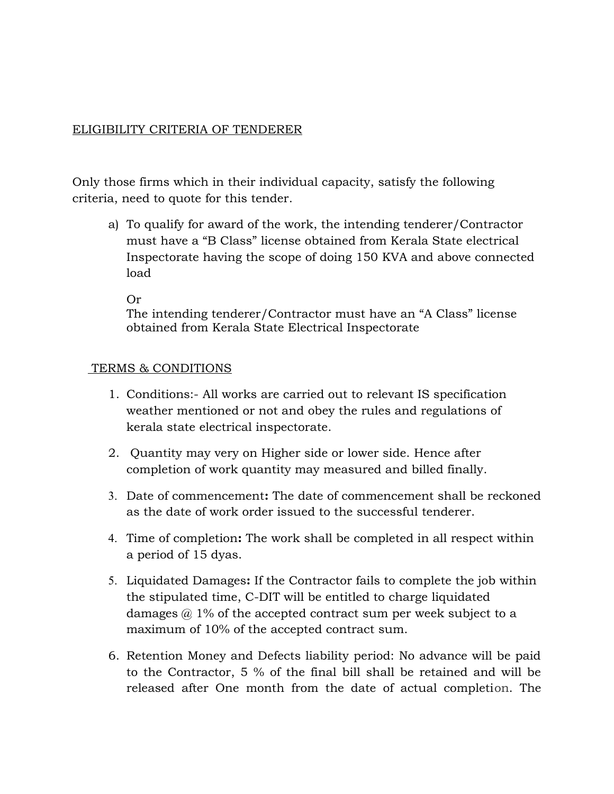#### ELIGIBILITY CRITERIA OF TENDERER

Only those firms which in their individual capacity, satisfy the following criteria, need to quote for this tender.

a) To qualify for award of the work, the intending tenderer/Contractor must have a "B Class" license obtained from Kerala State electrical Inspectorate having the scope of doing 150 KVA and above connected load

Or

The intending tenderer/Contractor must have an "A Class" license obtained from Kerala State Electrical Inspectorate

#### TERMS & CONDITIONS

- 1. Conditions:- All works are carried out to relevant IS specification weather mentioned or not and obey the rules and regulations of kerala state electrical inspectorate.
- 2. Quantity may very on Higher side or lower side. Hence after completion of work quantity may measured and billed finally.
- 3. Date of commencement**:** The date of commencement shall be reckoned as the date of work order issued to the successful tenderer.
- 4. Time of completion**:** The work shall be completed in all respect within a period of 15 dyas.
- 5. Liquidated Damages**:** If the Contractor fails to complete the job within the stipulated time, C-DIT will be entitled to charge liquidated damages  $\omega$  1% of the accepted contract sum per week subject to a maximum of 10% of the accepted contract sum.
- 6. Retention Money and Defects liability period: No advance will be paid to the Contractor, 5 % of the final bill shall be retained and will be released after One month from the date of actual completion. The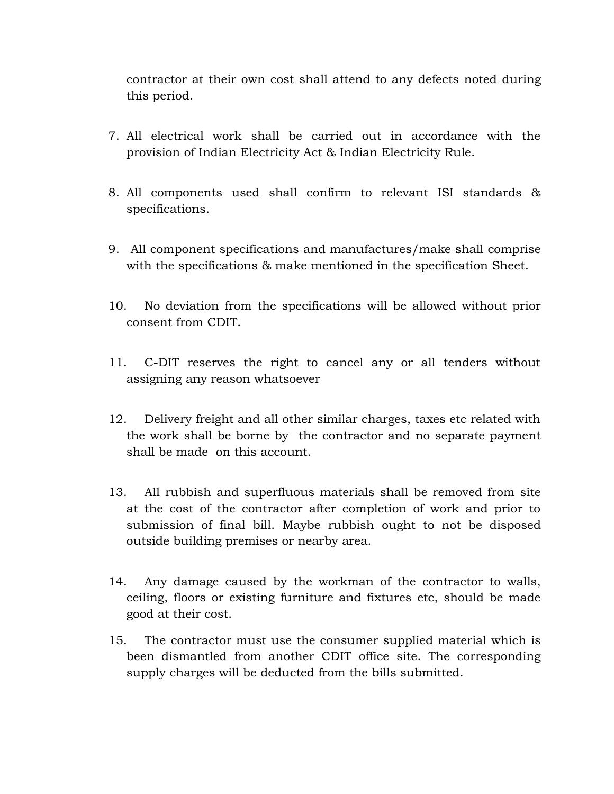contractor at their own cost shall attend to any defects noted during this period.

- 7. All electrical work shall be carried out in accordance with the provision of Indian Electricity Act & Indian Electricity Rule.
- 8. All components used shall confirm to relevant ISI standards & specifications.
- 9. All component specifications and manufactures/make shall comprise with the specifications & make mentioned in the specification Sheet.
- 10. No deviation from the specifications will be allowed without prior consent from CDIT.
- 11. C-DIT reserves the right to cancel any or all tenders without assigning any reason whatsoever
- 12. Delivery freight and all other similar charges, taxes etc related with the work shall be borne by the contractor and no separate payment shall be made on this account.
- 13. All rubbish and superfluous materials shall be removed from site at the cost of the contractor after completion of work and prior to submission of final bill. Maybe rubbish ought to not be disposed outside building premises or nearby area.
- 14. Any damage caused by the workman of the contractor to walls, ceiling, floors or existing furniture and fixtures etc, should be made good at their cost.
- 15. The contractor must use the consumer supplied material which is been dismantled from another CDIT office site. The corresponding supply charges will be deducted from the bills submitted.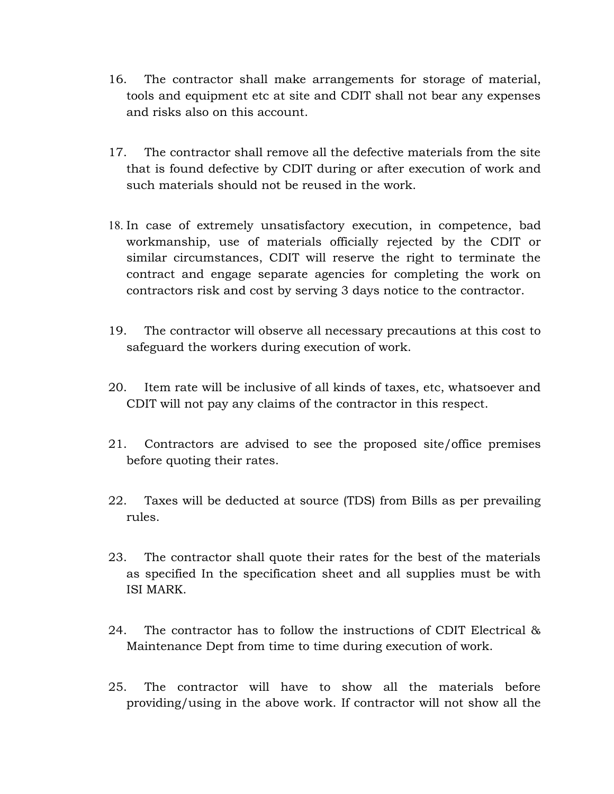- 16. The contractor shall make arrangements for storage of material, tools and equipment etc at site and CDIT shall not bear any expenses and risks also on this account.
- 17. The contractor shall remove all the defective materials from the site that is found defective by CDIT during or after execution of work and such materials should not be reused in the work.
- 18. In case of extremely unsatisfactory execution, in competence, bad workmanship, use of materials officially rejected by the CDIT or similar circumstances, CDIT will reserve the right to terminate the contract and engage separate agencies for completing the work on contractors risk and cost by serving 3 days notice to the contractor.
- 19. The contractor will observe all necessary precautions at this cost to safeguard the workers during execution of work.
- 20. Item rate will be inclusive of all kinds of taxes, etc, whatsoever and CDIT will not pay any claims of the contractor in this respect.
- 21. Contractors are advised to see the proposed site/office premises before quoting their rates.
- 22. Taxes will be deducted at source (TDS) from Bills as per prevailing rules.
- 23. The contractor shall quote their rates for the best of the materials as specified In the specification sheet and all supplies must be with ISI MARK.
- 24. The contractor has to follow the instructions of CDIT Electrical & Maintenance Dept from time to time during execution of work.
- 25. The contractor will have to show all the materials before providing/using in the above work. If contractor will not show all the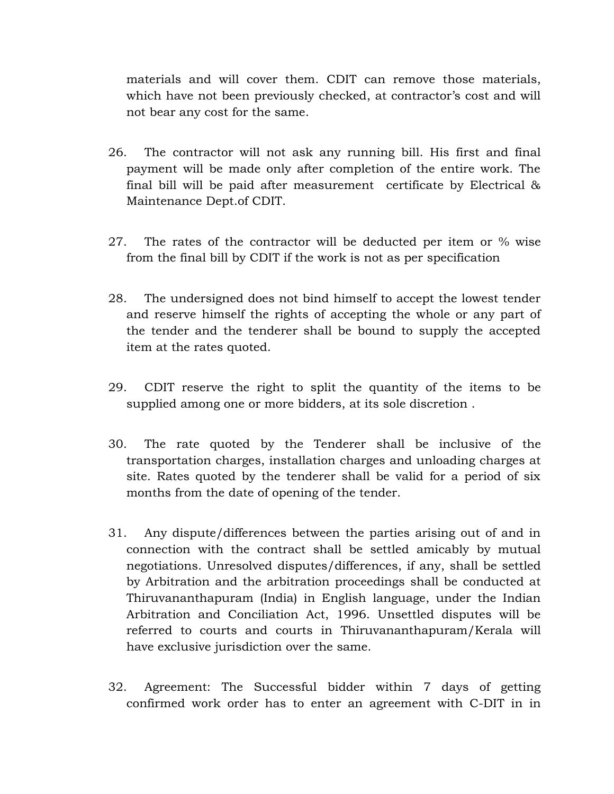materials and will cover them. CDIT can remove those materials, which have not been previously checked, at contractor's cost and will not bear any cost for the same.

- 26. The contractor will not ask any running bill. His first and final payment will be made only after completion of the entire work. The final bill will be paid after measurement certificate by Electrical & Maintenance Dept.of CDIT.
- 27. The rates of the contractor will be deducted per item or % wise from the final bill by CDIT if the work is not as per specification
- 28. The undersigned does not bind himself to accept the lowest tender and reserve himself the rights of accepting the whole or any part of the tender and the tenderer shall be bound to supply the accepted item at the rates quoted.
- 29. CDIT reserve the right to split the quantity of the items to be supplied among one or more bidders, at its sole discretion .
- 30. The rate quoted by the Tenderer shall be inclusive of the transportation charges, installation charges and unloading charges at site. Rates quoted by the tenderer shall be valid for a period of six months from the date of opening of the tender.
- 31. Any dispute/differences between the parties arising out of and in connection with the contract shall be settled amicably by mutual negotiations. Unresolved disputes/differences, if any, shall be settled by Arbitration and the arbitration proceedings shall be conducted at Thiruvananthapuram (India) in English language, under the Indian Arbitration and Conciliation Act, 1996. Unsettled disputes will be referred to courts and courts in Thiruvananthapuram/Kerala will have exclusive jurisdiction over the same.
- 32. Agreement: The Successful bidder within 7 days of getting confirmed work order has to enter an agreement with C-DIT in in